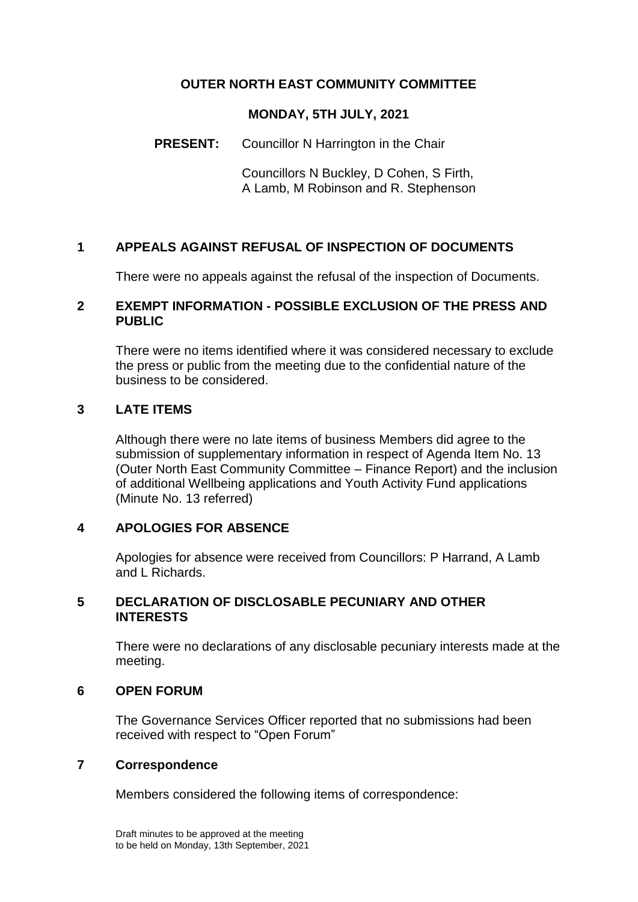## **OUTER NORTH EAST COMMUNITY COMMITTEE**

#### **MONDAY, 5TH JULY, 2021**

#### **PRESENT:** Councillor N Harrington in the Chair

Councillors N Buckley, D Cohen, S Firth, A Lamb, M Robinson and R. Stephenson

### **1 APPEALS AGAINST REFUSAL OF INSPECTION OF DOCUMENTS**

There were no appeals against the refusal of the inspection of Documents.

#### **2 EXEMPT INFORMATION - POSSIBLE EXCLUSION OF THE PRESS AND PUBLIC**

There were no items identified where it was considered necessary to exclude the press or public from the meeting due to the confidential nature of the business to be considered.

### **3 LATE ITEMS**

Although there were no late items of business Members did agree to the submission of supplementary information in respect of Agenda Item No. 13 (Outer North East Community Committee – Finance Report) and the inclusion of additional Wellbeing applications and Youth Activity Fund applications (Minute No. 13 referred)

#### **4 APOLOGIES FOR ABSENCE**

Apologies for absence were received from Councillors: P Harrand, A Lamb and L Richards.

#### **5 DECLARATION OF DISCLOSABLE PECUNIARY AND OTHER INTERESTS**

There were no declarations of any disclosable pecuniary interests made at the meeting.

#### **6 OPEN FORUM**

The Governance Services Officer reported that no submissions had been received with respect to "Open Forum"

#### **7 Correspondence**

Members considered the following items of correspondence: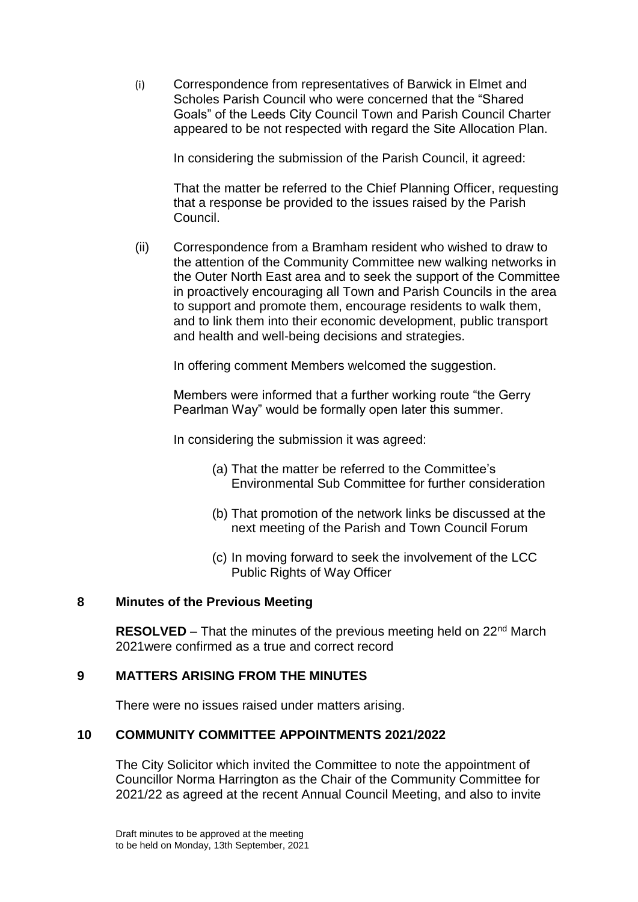(i) Correspondence from representatives of Barwick in Elmet and Scholes Parish Council who were concerned that the "Shared Goals" of the Leeds City Council Town and Parish Council Charter appeared to be not respected with regard the Site Allocation Plan.

In considering the submission of the Parish Council, it agreed:

That the matter be referred to the Chief Planning Officer, requesting that a response be provided to the issues raised by the Parish Council.

(ii) Correspondence from a Bramham resident who wished to draw to the attention of the Community Committee new walking networks in the Outer North East area and to seek the support of the Committee in proactively encouraging all Town and Parish Councils in the area to support and promote them, encourage residents to walk them, and to link them into their economic development, public transport and health and well-being decisions and strategies.

In offering comment Members welcomed the suggestion.

Members were informed that a further working route "the Gerry Pearlman Way" would be formally open later this summer.

In considering the submission it was agreed:

- (a) That the matter be referred to the Committee's Environmental Sub Committee for further consideration
- (b) That promotion of the network links be discussed at the next meeting of the Parish and Town Council Forum
- (c) In moving forward to seek the involvement of the LCC Public Rights of Way Officer

#### **8 Minutes of the Previous Meeting**

**RESOLVED** – That the minutes of the previous meeting held on 22<sup>nd</sup> March 2021were confirmed as a true and correct record

### **9 MATTERS ARISING FROM THE MINUTES**

There were no issues raised under matters arising.

#### **10 COMMUNITY COMMITTEE APPOINTMENTS 2021/2022**

The City Solicitor which invited the Committee to note the appointment of Councillor Norma Harrington as the Chair of the Community Committee for 2021/22 as agreed at the recent Annual Council Meeting, and also to invite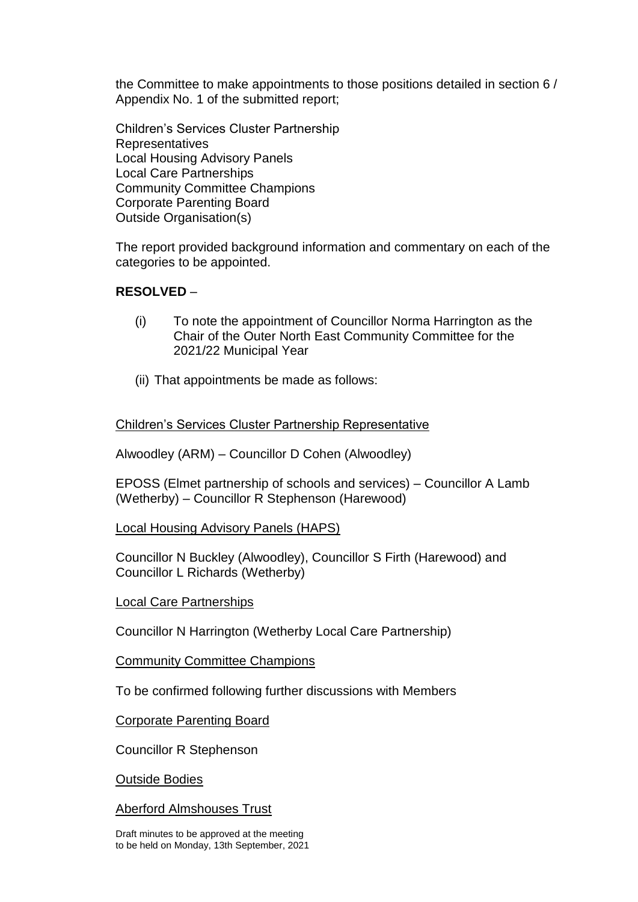the Committee to make appointments to those positions detailed in section 6 / Appendix No. 1 of the submitted report;

Children's Services Cluster Partnership **Representatives** Local Housing Advisory Panels Local Care Partnerships Community Committee Champions Corporate Parenting Board Outside Organisation(s)

The report provided background information and commentary on each of the categories to be appointed.

### **RESOLVED** –

- (i) To note the appointment of Councillor Norma Harrington as the Chair of the Outer North East Community Committee for the 2021/22 Municipal Year
- (ii) That appointments be made as follows:

### Children's Services Cluster Partnership Representative

Alwoodley (ARM) – Councillor D Cohen (Alwoodley)

EPOSS (Elmet partnership of schools and services) – Councillor A Lamb (Wetherby) – Councillor R Stephenson (Harewood)

Local Housing Advisory Panels (HAPS)

Councillor N Buckley (Alwoodley), Councillor S Firth (Harewood) and Councillor L Richards (Wetherby)

Local Care Partnerships

Councillor N Harrington (Wetherby Local Care Partnership)

Community Committee Champions

To be confirmed following further discussions with Members

Corporate Parenting Board

Councillor R Stephenson

Outside Bodies

Aberford Almshouses Trust

Draft minutes to be approved at the meeting to be held on Monday, 13th September, 2021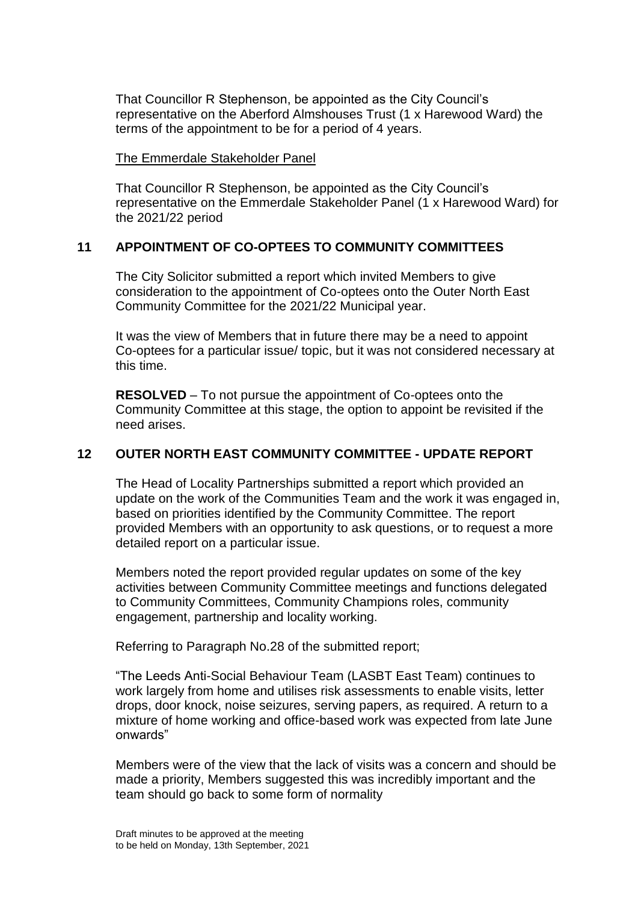That Councillor R Stephenson, be appointed as the City Council's representative on the Aberford Almshouses Trust (1 x Harewood Ward) the terms of the appointment to be for a period of 4 years.

The Emmerdale Stakeholder Panel

That Councillor R Stephenson, be appointed as the City Council's representative on the Emmerdale Stakeholder Panel (1 x Harewood Ward) for the 2021/22 period

### **11 APPOINTMENT OF CO-OPTEES TO COMMUNITY COMMITTEES**

The City Solicitor submitted a report which invited Members to give consideration to the appointment of Co-optees onto the Outer North East Community Committee for the 2021/22 Municipal year.

It was the view of Members that in future there may be a need to appoint Co-optees for a particular issue/ topic, but it was not considered necessary at this time.

**RESOLVED** – To not pursue the appointment of Co-optees onto the Community Committee at this stage, the option to appoint be revisited if the need arises.

### **12 OUTER NORTH EAST COMMUNITY COMMITTEE - UPDATE REPORT**

The Head of Locality Partnerships submitted a report which provided an update on the work of the Communities Team and the work it was engaged in, based on priorities identified by the Community Committee. The report provided Members with an opportunity to ask questions, or to request a more detailed report on a particular issue.

Members noted the report provided regular updates on some of the key activities between Community Committee meetings and functions delegated to Community Committees, Community Champions roles, community engagement, partnership and locality working.

Referring to Paragraph No.28 of the submitted report;

"The Leeds Anti-Social Behaviour Team (LASBT East Team) continues to work largely from home and utilises risk assessments to enable visits, letter drops, door knock, noise seizures, serving papers, as required. A return to a mixture of home working and office-based work was expected from late June onwards"

Members were of the view that the lack of visits was a concern and should be made a priority, Members suggested this was incredibly important and the team should go back to some form of normality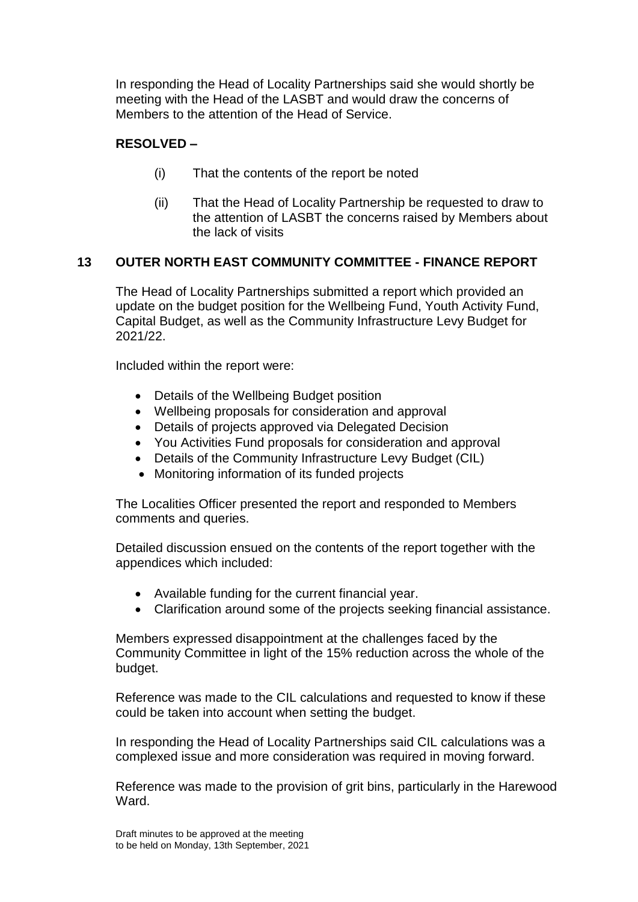In responding the Head of Locality Partnerships said she would shortly be meeting with the Head of the LASBT and would draw the concerns of Members to the attention of the Head of Service.

# **RESOLVED –**

- (i) That the contents of the report be noted
- (ii) That the Head of Locality Partnership be requested to draw to the attention of LASBT the concerns raised by Members about the lack of visits

### **13 OUTER NORTH EAST COMMUNITY COMMITTEE - FINANCE REPORT**

The Head of Locality Partnerships submitted a report which provided an update on the budget position for the Wellbeing Fund, Youth Activity Fund, Capital Budget, as well as the Community Infrastructure Levy Budget for 2021/22.

Included within the report were:

- Details of the Wellbeing Budget position
- Wellbeing proposals for consideration and approval
- Details of projects approved via Delegated Decision
- You Activities Fund proposals for consideration and approval
- Details of the Community Infrastructure Levy Budget (CIL)
- Monitoring information of its funded projects

The Localities Officer presented the report and responded to Members comments and queries.

Detailed discussion ensued on the contents of the report together with the appendices which included:

- Available funding for the current financial year.
- Clarification around some of the projects seeking financial assistance.

Members expressed disappointment at the challenges faced by the Community Committee in light of the 15% reduction across the whole of the budget.

Reference was made to the CIL calculations and requested to know if these could be taken into account when setting the budget.

In responding the Head of Locality Partnerships said CIL calculations was a complexed issue and more consideration was required in moving forward.

Reference was made to the provision of grit bins, particularly in the Harewood Ward.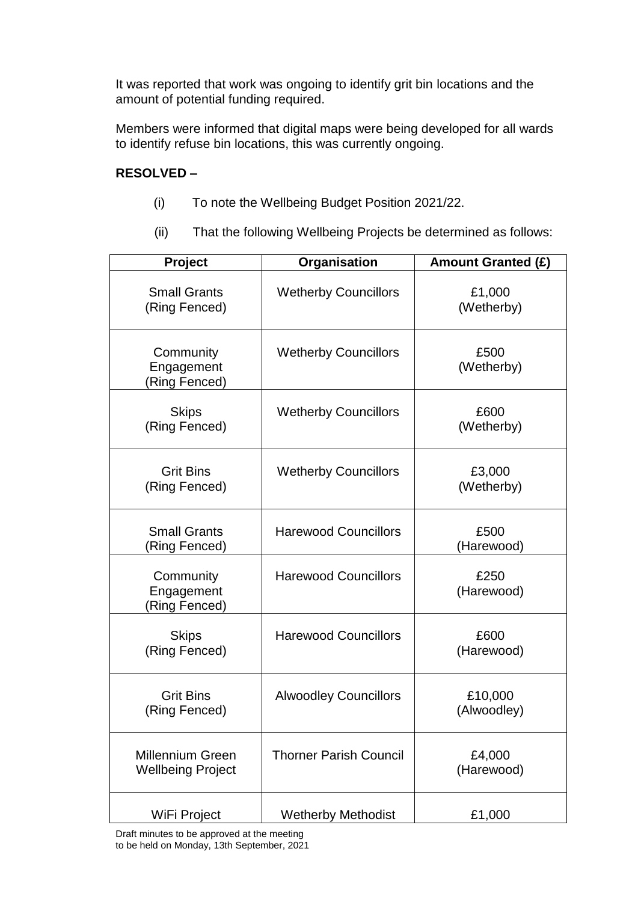It was reported that work was ongoing to identify grit bin locations and the amount of potential funding required.

Members were informed that digital maps were being developed for all wards to identify refuse bin locations, this was currently ongoing.

## **RESOLVED –**

- (i) To note the Wellbeing Budget Position 2021/22.
- (ii) That the following Wellbeing Projects be determined as follows:

| Project                                             | Organisation                  | <b>Amount Granted (£)</b> |
|-----------------------------------------------------|-------------------------------|---------------------------|
| <b>Small Grants</b><br>(Ring Fenced)                | <b>Wetherby Councillors</b>   | £1,000<br>(Wetherby)      |
| Community<br>Engagement<br>(Ring Fenced)            | <b>Wetherby Councillors</b>   | £500<br>(Wetherby)        |
| <b>Skips</b><br>(Ring Fenced)                       | <b>Wetherby Councillors</b>   | £600<br>(Wetherby)        |
| <b>Grit Bins</b><br>(Ring Fenced)                   | <b>Wetherby Councillors</b>   | £3,000<br>(Wetherby)      |
| <b>Small Grants</b><br>(Ring Fenced)                | <b>Harewood Councillors</b>   | £500<br>(Harewood)        |
| Community<br>Engagement<br>(Ring Fenced)            | <b>Harewood Councillors</b>   | £250<br>(Harewood)        |
| <b>Skips</b><br>(Ring Fenced)                       | <b>Harewood Councillors</b>   | £600<br>(Harewood)        |
| <b>Grit Bins</b><br>(Ring Fenced)                   | <b>Alwoodley Councillors</b>  | £10,000<br>(Alwoodley)    |
| <b>Millennium Green</b><br><b>Wellbeing Project</b> | <b>Thorner Parish Council</b> | £4,000<br>(Harewood)      |
| WiFi Project                                        | <b>Wetherby Methodist</b>     | £1,000                    |

Draft minutes to be approved at the meeting to be held on Monday, 13th September, 2021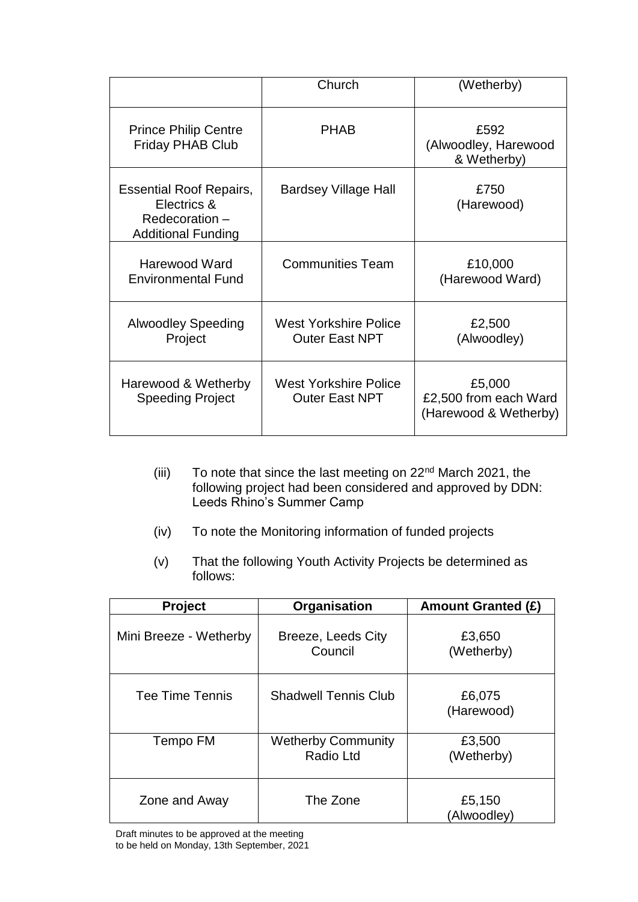|                                                                                             | Church                                                | (Wetherby)                                               |
|---------------------------------------------------------------------------------------------|-------------------------------------------------------|----------------------------------------------------------|
| <b>Prince Philip Centre</b><br><b>Friday PHAB Club</b>                                      | <b>PHAB</b>                                           | £592<br>(Alwoodley, Harewood<br>& Wetherby)              |
| <b>Essential Roof Repairs,</b><br>Electrics &<br>Redecoration-<br><b>Additional Funding</b> | Bardsey Village Hall                                  | £750<br>(Harewood)                                       |
| <b>Harewood Ward</b><br><b>Environmental Fund</b>                                           | <b>Communities Team</b>                               | £10,000<br>(Harewood Ward)                               |
| <b>Alwoodley Speeding</b><br>Project                                                        | <b>West Yorkshire Police</b><br><b>Outer East NPT</b> | £2,500<br>(Alwoodley)                                    |
| Harewood & Wetherby<br><b>Speeding Project</b>                                              | <b>West Yorkshire Police</b><br><b>Outer East NPT</b> | £5,000<br>£2,500 from each Ward<br>(Harewood & Wetherby) |

- (iii) To note that since the last meeting on 22<sup>nd</sup> March 2021, the following project had been considered and approved by DDN: Leeds Rhino's Summer Camp
- (iv) To note the Monitoring information of funded projects
- (v) That the following Youth Activity Projects be determined as follows:

| <b>Project</b>         | Organisation                                  | <b>Amount Granted (£)</b> |
|------------------------|-----------------------------------------------|---------------------------|
| Mini Breeze - Wetherby | Breeze, Leeds City<br>Council                 | £3,650<br>(Wetherby)      |
| Tee Time Tennis        | <b>Shadwell Tennis Club</b>                   | £6,075<br>(Harewood)      |
| Tempo FM               | <b>Wetherby Community</b><br><b>Radio Ltd</b> | £3,500<br>(Wetherby)      |
| Zone and Away          | The Zone                                      | £5,150<br>(Alwoodley)     |

Draft minutes to be approved at the meeting to be held on Monday, 13th September, 2021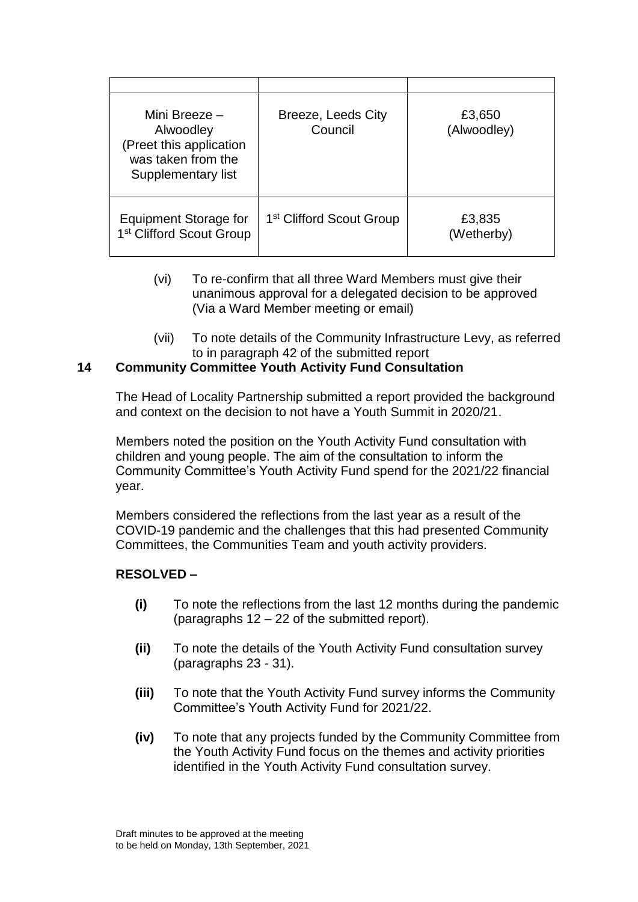| Mini Breeze -<br>Alwoodley<br>(Preet this application<br>was taken from the<br>Supplementary list | Breeze, Leeds City<br>Council        | £3,650<br>(Alwoodley) |
|---------------------------------------------------------------------------------------------------|--------------------------------------|-----------------------|
| Equipment Storage for<br>1 <sup>st</sup> Clifford Scout Group                                     | 1 <sup>st</sup> Clifford Scout Group | £3,835<br>(Wetherby)  |

- (vi) To re-confirm that all three Ward Members must give their unanimous approval for a delegated decision to be approved (Via a Ward Member meeting or email)
- (vii) To note details of the Community Infrastructure Levy, as referred to in paragraph 42 of the submitted report

### **14 Community Committee Youth Activity Fund Consultation**

The Head of Locality Partnership submitted a report provided the background and context on the decision to not have a Youth Summit in 2020/21.

Members noted the position on the Youth Activity Fund consultation with children and young people. The aim of the consultation to inform the Community Committee's Youth Activity Fund spend for the 2021/22 financial year.

Members considered the reflections from the last year as a result of the COVID-19 pandemic and the challenges that this had presented Community Committees, the Communities Team and youth activity providers.

#### **RESOLVED –**

- **(i)** To note the reflections from the last 12 months during the pandemic (paragraphs 12 – 22 of the submitted report).
- **(ii)** To note the details of the Youth Activity Fund consultation survey (paragraphs 23 - 31).
- **(iii)** To note that the Youth Activity Fund survey informs the Community Committee's Youth Activity Fund for 2021/22.
- **(iv)** To note that any projects funded by the Community Committee from the Youth Activity Fund focus on the themes and activity priorities identified in the Youth Activity Fund consultation survey.